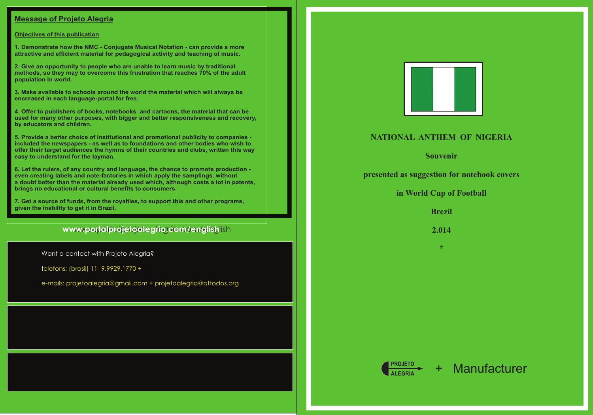## **Message of Projeto Alegria**

#### **Objectives of this publication**

**1. Demonstrate how the NMC - Conjugate Musical Notation - can provide a more attractive and efficient material for pedagogical activity and teaching of music.**

**2. Give an opportunity to people who are unable to learn music by traditional methods, so they may to overcome this frustration that reaches 70% of the adult population in world.**

**3. Make available to schools around the world the material which will always be encreased in each language-portal for free.**

**4. Offer to publishers of books, notebooks and cartoons, the material that can be used for many other purposes, with bigger and better responsiveness and recovery, by educators and children.**

**5. Provide a better choice of institutional and promotional publicity to companies included the newspapers - as well as to foundations and other bodies who wish to offer their target audiences the hymns of their countries and clubs, written this way easy to understand for the layman.** 

**6. Let the rulers, of any country and language, the chance to promote production even creating labels and note-factories in which apply the samplings, without a doubt better than the material already used which, although costs a lot in patents, brings no educational or cultural benefits to consumers.**

**7. Get a source of funds, from the royalties, to support this and other programs, given the inability to get it in Brazil.**

# www.portalprojetoalegria.com/englishlish

# **NATIONAL ANTHEM OF NIGERIA**

**Souvenir**

**presented as suggestion for notebook covers** 

### **in World Cup of Football**

**Brezil**

**2.014**

**\***

Want a contect with Projeto Alegria?

telefons: (brasil) 11- 9.9929.1770 +

e-mails: projetoalegria@gmail.com + projetoalegria@attodos.org